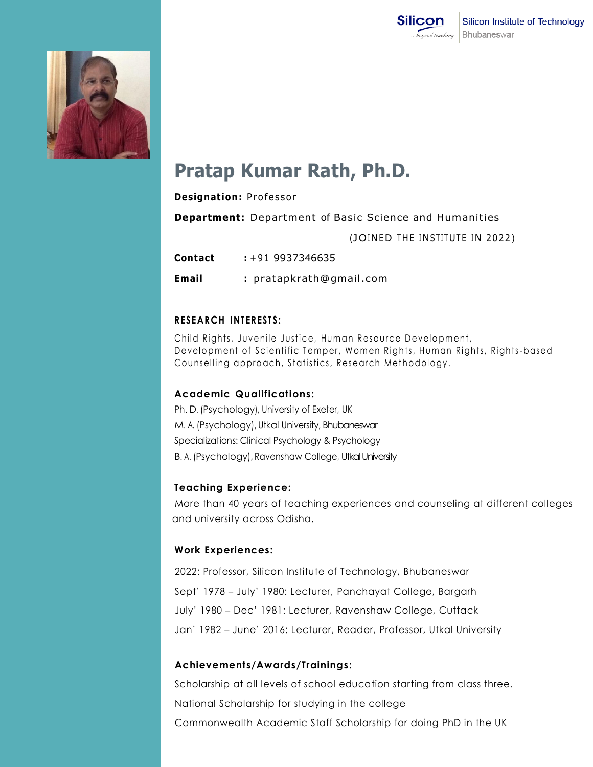



# **Pratap Kumar Rath, Ph.D.**

#### **Designation: Professor**

**Department:** Department of Basic Science and Humanities

(JOINED THE INSTITUTE IN 2022)

**Contact :** +91 9937346635

**Email :** [pratapkrath@gmail .com](mailto:pratapkrath@gmail.com)

## **RESEARCH INTERESTS:**

Child Rights, Juvenile Justice, Human Resource Development, Development of Scientific Temper, Women Rights, Human Rights, Rights-based Counselling approach, Statistics, Research Methodology.

## **Academic Qualifications:**

Ph. D. (Psychology), University of Exeter, UK M. A. (Psychology), Utkal University, Bhubaneswar Specializations: Clinical Psychology & Psychology B. A. (Psychology), Ravenshaw College, Utkal University

## **Teaching Experience:**

More than 40 years of teaching experiences and counseling at different colleges and university across Odisha.

## **Work Experiences:**

2022: Professor, Silicon Institute of Technology, Bhubaneswar Sept' 1978 – July' 1980: Lecturer, Panchayat College, Bargarh July' 1980 – Dec' 1981: Lecturer, Ravenshaw College, Cuttack Jan' 1982 – June' 2016: Lecturer, Reader, Professor, Utkal University

## **Achievements/Awards/Trainings:**

Scholarship at all levels of school education starting from class three. National Scholarship for studying in the college Commonwealth Academic Staff Scholarship for doing PhD in the UK